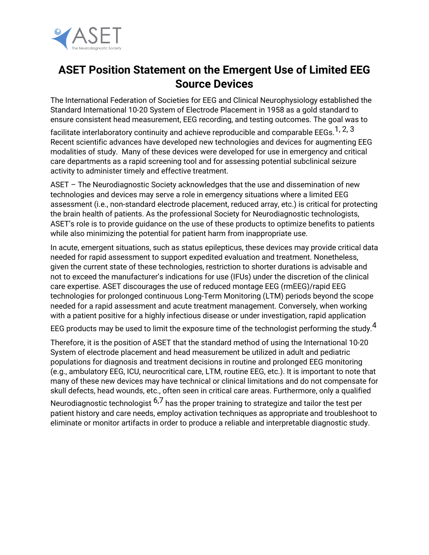

## **ASET Position Statement on the Emergent Use of Limited EEG Source Devices**

The International Federation of Societies for EEG and Clinical Neurophysiology established the Standard International 10-20 System of Electrode Placement in 1958 as a gold standard to ensure consistent head measurement, EEG recording, and testing outcomes. The goal was to

facilitate interlaboratory continuity and achieve reproducible and comparable EEGs.<sup>1, 2, 3</sup> Recent scientific advances have developed new technologies and devices for augmenting EEG modalities of study. Many of these devices were developed for use in emergency and critical care departments as a rapid screening tool and for assessing potential subclinical seizure activity to administer timely and effective treatment.

ASET – The Neurodiagnostic Society acknowledges that the use and dissemination of new technologies and devices may serve a role in emergency situations where a limited EEG assessment (i.e., non-standard electrode placement, reduced array, etc.) is critical for protecting the brain health of patients. As the professional Society for Neurodiagnostic technologists, ASET's role is to provide guidance on the use of these products to optimize benefits to patients while also minimizing the potential for patient harm from inappropriate use.

In acute, emergent situations, such as status epilepticus, these devices may provide critical data needed for rapid assessment to support expedited evaluation and treatment. Nonetheless, given the current state of these technologies, restriction to shorter durations is advisable and not to exceed the manufacturer's indications for use (IFUs) under the discretion of the clinical care expertise. ASET discourages the use of reduced montage EEG (rmEEG)/rapid EEG technologies for prolonged continuous Long-Term Monitoring (LTM) periods beyond the scope needed for a rapid assessment and acute treatment management. Conversely, when working with a patient positive for a highly infectious disease or under investigation, rapid application

EEG products may be used to limit the exposure time of the technologist performing the study.  $^4$ 

Therefore, it is the position of ASET that the standard method of using the International 10-20 System of electrode placement and head measurement be utilized in adult and pediatric populations for diagnosis and treatment decisions in routine and prolonged EEG monitoring (e.g., ambulatory EEG, ICU, neurocritical care, LTM, routine EEG, etc.). It is important to note that many of these new devices may have technical or clinical limitations and do not compensate for skull defects, head wounds, etc., often seen in critical care areas. Furthermore, only a qualified Neurodiagnostic technologist  $6.7$  has the proper training to strategize and tailor the test per

patient history and care needs, employ activation techniques as appropriate and troubleshoot to eliminate or monitor artifacts in order to produce a reliable and interpretable diagnostic study.